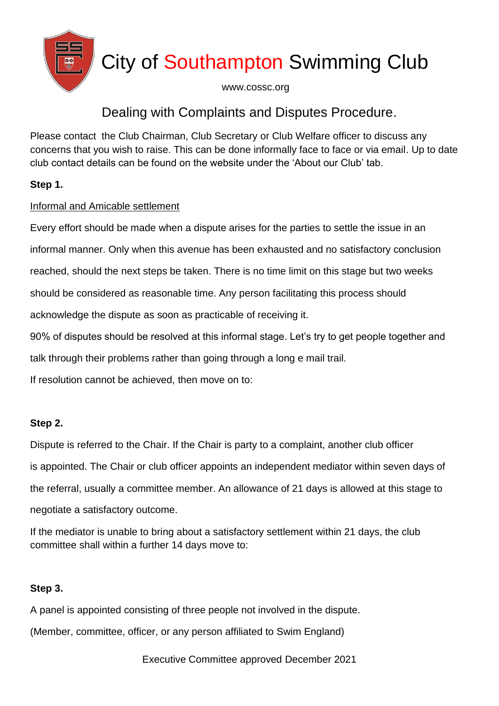

# City of Southampton Swimming Club

www.cossc.org

### Dealing with Complaints and Disputes Procedure.

Please contact the Club Chairman, Club Secretary or Club Welfare officer to discuss any concerns that you wish to raise. This can be done informally face to face or via email. Up to date club contact details can be found on the website under the 'About our Club' tab.

### **Step 1.**

### Informal and Amicable settlement

Every effort should be made when a dispute arises for the parties to settle the issue in an informal manner. Only when this avenue has been exhausted and no satisfactory conclusion reached, should the next steps be taken. There is no time limit on this stage but two weeks should be considered as reasonable time. Any person facilitating this process should acknowledge the dispute as soon as practicable of receiving it. 90% of disputes should be resolved at this informal stage. Let's try to get people together and talk through their problems rather than going through a long e mail trail. If resolution cannot be achieved, then move on to:

### **Step 2.**

Dispute is referred to the Chair. If the Chair is party to a complaint, another club officer is appointed. The Chair or club officer appoints an independent mediator within seven days of the referral, usually a committee member. An allowance of 21 days is allowed at this stage to negotiate a satisfactory outcome.

If the mediator is unable to bring about a satisfactory settlement within 21 days, the club committee shall within a further 14 days move to:

### **Step 3.**

A panel is appointed consisting of three people not involved in the dispute. (Member, committee, officer, or any person affiliated to Swim England)

Executive Committee approved December 2021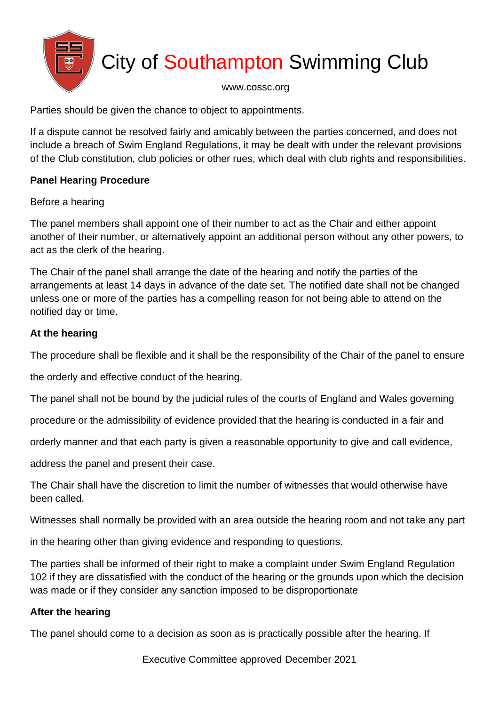

# City of Southampton Swimming Club

#### www.cossc.org

Parties should be given the chance to object to appointments.

If a dispute cannot be resolved fairly and amicably between the parties concerned, and does not include a breach of Swim England Regulations, it may be dealt with under the relevant provisions of the Club constitution, club policies or other rues, which deal with club rights and responsibilities.

#### **Panel Hearing Procedure**

#### Before a hearing

The panel members shall appoint one of their number to act as the Chair and either appoint another of their number, or alternatively appoint an additional person without any other powers, to act as the clerk of the hearing.

The Chair of the panel shall arrange the date of the hearing and notify the parties of the arrangements at least 14 days in advance of the date set. The notified date shall not be changed unless one or more of the parties has a compelling reason for not being able to attend on the notified day or time.

### **At the hearing**

The procedure shall be flexible and it shall be the responsibility of the Chair of the panel to ensure

the orderly and effective conduct of the hearing.

The panel shall not be bound by the judicial rules of the courts of England and Wales governing

procedure or the admissibility of evidence provided that the hearing is conducted in a fair and

orderly manner and that each party is given a reasonable opportunity to give and call evidence,

address the panel and present their case.

The Chair shall have the discretion to limit the number of witnesses that would otherwise have been called.

Witnesses shall normally be provided with an area outside the hearing room and not take any part

in the hearing other than giving evidence and responding to questions.

The parties shall be informed of their right to make a complaint under Swim England Regulation 102 if they are dissatisfied with the conduct of the hearing or the grounds upon which the decision was made or if they consider any sanction imposed to be disproportionate

### **After the hearing**

The panel should come to a decision as soon as is practically possible after the hearing. If

Executive Committee approved December 2021